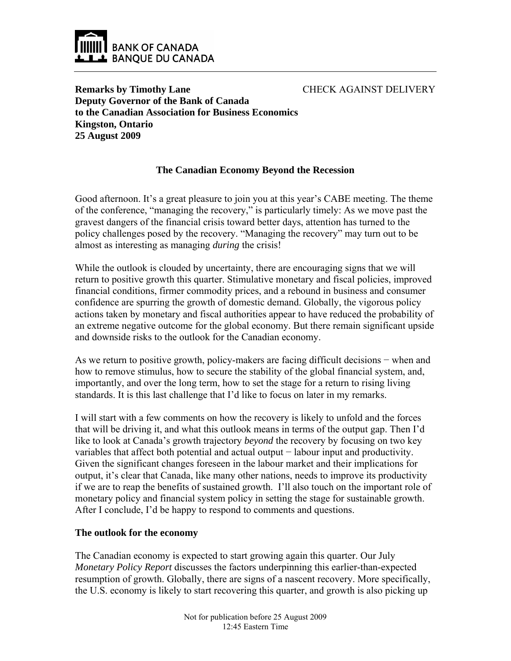

CHECK AGAINST DELIVERY

**Remarks by Timothy Lane Deputy Governor of the Bank of Canada to the Canadian Association for Business Economics Kingston, Ontario 25 August 2009** 

# **The Canadian Economy Beyond the Recession**

Good afternoon. It's a great pleasure to join you at this year's CABE meeting. The theme of the conference, "managing the recovery," is particularly timely: As we move past the gravest dangers of the financial crisis toward better days, attention has turned to the policy challenges posed by the recovery. "Managing the recovery" may turn out to be almost as interesting as managing *during* the crisis!

While the outlook is clouded by uncertainty, there are encouraging signs that we will return to positive growth this quarter. Stimulative monetary and fiscal policies, improved financial conditions, firmer commodity prices, and a rebound in business and consumer confidence are spurring the growth of domestic demand. Globally, the vigorous policy actions taken by monetary and fiscal authorities appear to have reduced the probability of an extreme negative outcome for the global economy. But there remain significant upside and downside risks to the outlook for the Canadian economy.

As we return to positive growth, policy-makers are facing difficult decisions – when and how to remove stimulus, how to secure the stability of the global financial system, and, importantly, and over the long term, how to set the stage for a return to rising living standards. It is this last challenge that I'd like to focus on later in my remarks.

I will start with a few comments on how the recovery is likely to unfold and the forces that will be driving it, and what this outlook means in terms of the output gap. Then I'd like to look at Canada's growth trajectory *beyond* the recovery by focusing on two key variables that affect both potential and actual output − labour input and productivity. Given the significant changes foreseen in the labour market and their implications for output, it's clear that Canada, like many other nations, needs to improve its productivity if we are to reap the benefits of sustained growth. I'll also touch on the important role of monetary policy and financial system policy in setting the stage for sustainable growth. After I conclude, I'd be happy to respond to comments and questions.

### **The outlook for the economy**

The Canadian economy is expected to start growing again this quarter. Our July *Monetary Policy Report* discusses the factors underpinning this earlier-than-expected resumption of growth. Globally, there are signs of a nascent recovery. More specifically, the U.S. economy is likely to start recovering this quarter, and growth is also picking up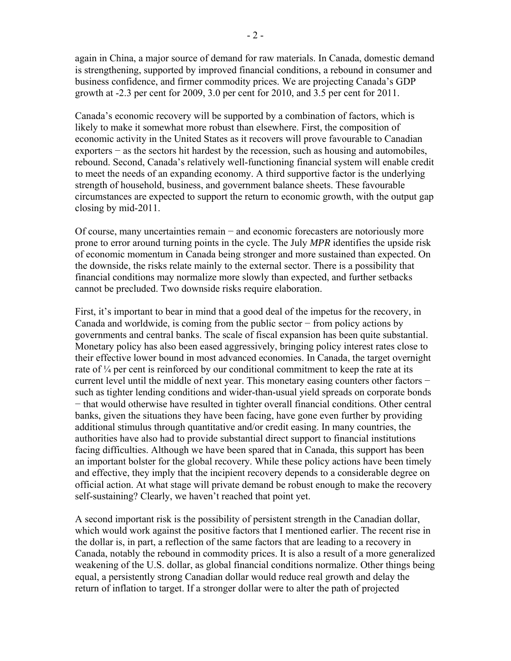again in China, a major source of demand for raw materials. In Canada, domestic demand is strengthening, supported by improved financial conditions, a rebound in consumer and business confidence, and firmer commodity prices. We are projecting Canada's GDP growth at -2.3 per cent for 2009, 3.0 per cent for 2010, and 3.5 per cent for 2011.

Canada's economic recovery will be supported by a combination of factors, which is likely to make it somewhat more robust than elsewhere. First, the composition of economic activity in the United States as it recovers will prove favourable to Canadian exporters − as the sectors hit hardest by the recession, such as housing and automobiles, rebound. Second, Canada's relatively well-functioning financial system will enable credit to meet the needs of an expanding economy. A third supportive factor is the underlying strength of household, business, and government balance sheets. These favourable circumstances are expected to support the return to economic growth, with the output gap closing by mid-2011.

Of course, many uncertainties remain − and economic forecasters are notoriously more prone to error around turning points in the cycle. The July *MPR* identifies the upside risk of economic momentum in Canada being stronger and more sustained than expected. On the downside, the risks relate mainly to the external sector. There is a possibility that financial conditions may normalize more slowly than expected, and further setbacks cannot be precluded. Two downside risks require elaboration.

First, it's important to bear in mind that a good deal of the impetus for the recovery, in Canada and worldwide, is coming from the public sector − from policy actions by governments and central banks. The scale of fiscal expansion has been quite substantial. Monetary policy has also been eased aggressively, bringing policy interest rates close to their effective lower bound in most advanced economies. In Canada, the target overnight rate of  $\frac{1}{4}$  per cent is reinforced by our conditional commitment to keep the rate at its current level until the middle of next year. This monetary easing counters other factors − such as tighter lending conditions and wider-than-usual yield spreads on corporate bonds − that would otherwise have resulted in tighter overall financial conditions. Other central banks, given the situations they have been facing, have gone even further by providing additional stimulus through quantitative and/or credit easing. In many countries, the authorities have also had to provide substantial direct support to financial institutions facing difficulties. Although we have been spared that in Canada, this support has been an important bolster for the global recovery. While these policy actions have been timely and effective, they imply that the incipient recovery depends to a considerable degree on official action. At what stage will private demand be robust enough to make the recovery self-sustaining? Clearly, we haven't reached that point yet.

A second important risk is the possibility of persistent strength in the Canadian dollar, which would work against the positive factors that I mentioned earlier. The recent rise in the dollar is, in part, a reflection of the same factors that are leading to a recovery in Canada, notably the rebound in commodity prices. It is also a result of a more generalized weakening of the U.S. dollar, as global financial conditions normalize. Other things being equal, a persistently strong Canadian dollar would reduce real growth and delay the return of inflation to target. If a stronger dollar were to alter the path of projected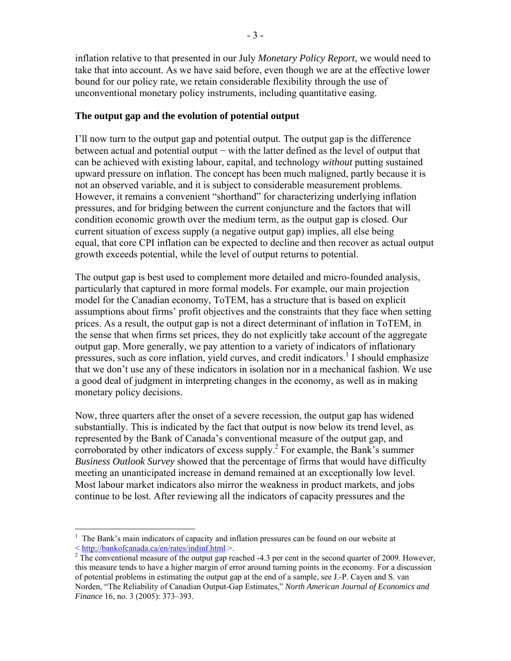inflation relative to that presented in our July *Monetary Policy Report*, we would need to take that into account. As we have said before, even though we are at the effective lower bound for our policy rate, we retain considerable flexibility through the use of unconventional monetary policy instruments, including quantitative easing.

#### **The output gap and the evolution of potential output**

I'll now turn to the output gap and potential output. The output gap is the difference between actual and potential output − with the latter defined as the level of output that can be achieved with existing labour, capital, and technology *without* putting sustained upward pressure on inflation. The concept has been much maligned, partly because it is not an observed variable, and it is subject to considerable measurement problems. However, it remains a convenient "shorthand" for characterizing underlying inflation pressures, and for bridging between the current conjuncture and the factors that will condition economic growth over the medium term, as the output gap is closed. Our current situation of excess supply (a negative output gap) implies, all else being equal, that core CPI inflation can be expected to decline and then recover as actual output growth exceeds potential, while the level of output returns to potential.

The output gap is best used to complement more detailed and micro-founded analysis, particularly that captured in more formal models. For example, our main projection model for the Canadian economy, ToTEM, has a structure that is based on explicit assumptions about firms' profit objectives and the constraints that they face when setting prices. As a result, the output gap is not a direct determinant of inflation in ToTEM, in the sense that when firms set prices, they do not explicitly take account of the aggregate output gap. More generally, we pay attention to a variety of indicators of inflationary pressures, such as core inflation, yield curves, and credit indicators.<sup>1</sup> I should emphasize that we don't use any of these indicators in isolation nor in a mechanical fashion. We use a good deal of judgment in interpreting changes in the economy, as well as in making monetary policy decisions.

Now, three quarters after the onset of a severe recession, the output gap has widened substantially. This is indicated by the fact that output is now below its trend level, as represented by the Bank of Canada's conventional measure of the output gap, and corroborated by other indicators of excess supply.<sup>2</sup> For example, the Bank's summer *Business Outlook Survey* showed that the percentage of firms that would have difficulty meeting an unanticipated increase in demand remained at an exceptionally low level. Most labour market indicators also mirror the weakness in product markets, and jobs continue to be lost. After reviewing all the indicators of capacity pressures and the

 $\overline{a}$ 

<sup>1</sup> The Bank's main indicators of capacity and inflation pressures can be found on our website at  $\langle$  http://bankofcanada.ca/en/rates/indinf.html  $>$ .

 $2 \text{ The conventional measure of the output gap reached } -4.3 \text{ per cent in the second quarter of } 2009.$  However, this measure tends to have a higher margin of error around turning points in the economy. For a discussion of potential problems in estimating the output gap at the end of a sample, see J.-P. Cayen and S. van Norden, "The Reliability of Canadian Output-Gap Estimates," *North American Journal of Economics and Finance* 16, no. 3 (2005): 373–393.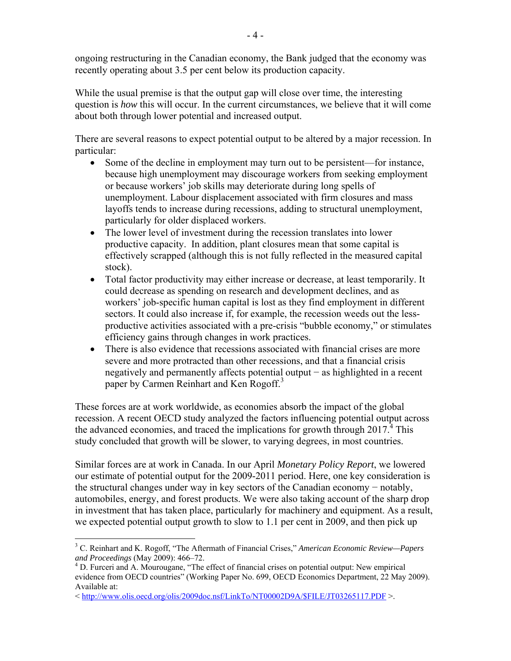ongoing restructuring in the Canadian economy, the Bank judged that the economy was recently operating about 3.5 per cent below its production capacity.

While the usual premise is that the output gap will close over time, the interesting question is *how* this will occur. In the current circumstances, we believe that it will come about both through lower potential and increased output.

There are several reasons to expect potential output to be altered by a major recession. In particular:

- Some of the decline in employment may turn out to be persistent—for instance, because high unemployment may discourage workers from seeking employment or because workers' job skills may deteriorate during long spells of unemployment. Labour displacement associated with firm closures and mass layoffs tends to increase during recessions, adding to structural unemployment, particularly for older displaced workers.
- The lower level of investment during the recession translates into lower productive capacity. In addition, plant closures mean that some capital is effectively scrapped (although this is not fully reflected in the measured capital stock).
- Total factor productivity may either increase or decrease, at least temporarily. It could decrease as spending on research and development declines, and as workers' job-specific human capital is lost as they find employment in different sectors. It could also increase if, for example, the recession weeds out the lessproductive activities associated with a pre-crisis "bubble economy," or stimulates efficiency gains through changes in work practices.
- There is also evidence that recessions associated with financial crises are more severe and more protracted than other recessions, and that a financial crisis negatively and permanently affects potential output – as highlighted in a recent paper by Carmen Reinhart and Ken Rogoff.<sup>3</sup>

These forces are at work worldwide, as economies absorb the impact of the global recession. A recent OECD study analyzed the factors influencing potential output across the advanced economies, and traced the implications for growth through  $2017<sup>4</sup>$ . This study concluded that growth will be slower, to varying degrees, in most countries.

Similar forces are at work in Canada. In our April *Monetary Policy Report*, we lowered our estimate of potential output for the 2009-2011 period. Here, one key consideration is the structural changes under way in key sectors of the Canadian economy − notably, automobiles, energy, and forest products. We were also taking account of the sharp drop in investment that has taken place, particularly for machinery and equipment. As a result, we expected potential output growth to slow to 1.1 per cent in 2009, and then pick up

 $\overline{a}$ 3 C. Reinhart and K. Rogoff, "The Aftermath of Financial Crises," *American Economic Review—Papers*  and Proceedings (May 2009): 466-72.

D. Furceri and A. Mourougane, "The effect of financial crises on potential output: New empirical evidence from OECD countries" (Working Paper No. 699, OECD Economics Department, 22 May 2009). Available at:

<sup>&</sup>lt; http://www.olis.oecd.org/olis/2009doc.nsf/LinkTo/NT00002D9A/\$FILE/JT03265117.PDF >.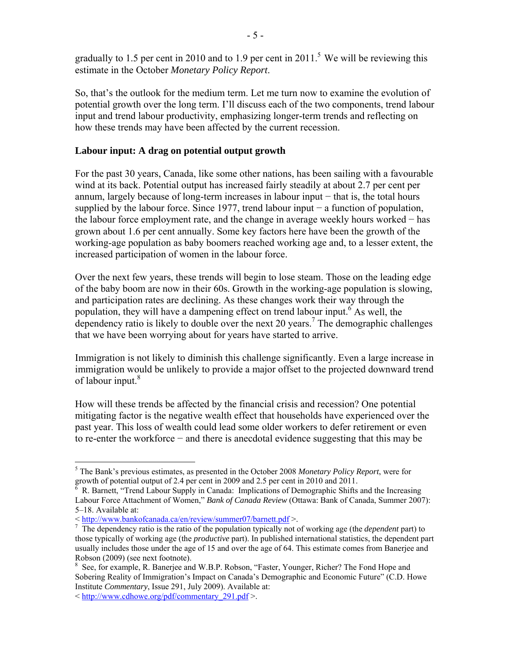gradually to 1.5 per cent in 2010 and to 1.9 per cent in 2011.<sup>5</sup> We will be reviewing this estimate in the October *Monetary Policy Report*.

So, that's the outlook for the medium term. Let me turn now to examine the evolution of potential growth over the long term. I'll discuss each of the two components, trend labour input and trend labour productivity, emphasizing longer-term trends and reflecting on how these trends may have been affected by the current recession.

#### **Labour input: A drag on potential output growth**

For the past 30 years, Canada, like some other nations, has been sailing with a favourable wind at its back. Potential output has increased fairly steadily at about 2.7 per cent per annum, largely because of long-term increases in labour input − that is, the total hours supplied by the labour force. Since 1977, trend labour input − a function of population, the labour force employment rate, and the change in average weekly hours worked − has grown about 1.6 per cent annually. Some key factors here have been the growth of the working-age population as baby boomers reached working age and, to a lesser extent, the increased participation of women in the labour force.

Over the next few years, these trends will begin to lose steam. Those on the leading edge of the baby boom are now in their 60s. Growth in the working-age population is slowing, and participation rates are declining. As these changes work their way through the population, they will have a dampening effect on trend labour input.  $6$  As well, the dependency ratio is likely to double over the next 20 years.<sup>7</sup> The demographic challenges that we have been worrying about for years have started to arrive.

Immigration is not likely to diminish this challenge significantly. Even a large increase in immigration would be unlikely to provide a major offset to the projected downward trend of labour input.<sup>8</sup>

How will these trends be affected by the financial crisis and recession? One potential mitigating factor is the negative wealth effect that households have experienced over the past year. This loss of wealth could lead some older workers to defer retirement or even to re-enter the workforce − and there is anecdotal evidence suggesting that this may be

1

<sup>5</sup> The Bank's previous estimates, as presented in the October 2008 *Monetary Policy Report*, were for growth of potential output of 2.4 per cent in 2009 and 2.5 per cent in 2010 and 2011. 6

R. Barnett, "Trend Labour Supply in Canada: Implications of Demographic Shifts and the Increasing Labour Force Attachment of Women," *Bank of Canada Review* (Ottawa: Bank of Canada, Summer 2007): 5–18. Available at:

<sup>&</sup>lt; http://www.bankofcanada.ca/en/review/summer07/barnett.pdf >. 7

<sup>&</sup>lt;sup>7</sup> The dependency ratio is the ratio of the population typically not of working age (the *dependent* part) to those typically of working age (the *productive* part). In published international statistics, the dependent part usually includes those under the age of 15 and over the age of 64. This estimate comes from Banerjee and Robson (2009) (see next footnote).

<sup>&</sup>lt;sup>8</sup> See, for example, R. Banerjee and W.B.P. Robson, "Faster, Younger, Richer? The Fond Hope and Sobering Reality of Immigration's Impact on Canada's Demographic and Economic Future" (C.D. Howe Institute *Commentary*, Issue 291, July 2009). Available at:

<sup>&</sup>lt; http://www.cdhowe.org/pdf/commentary\_291.pdf >.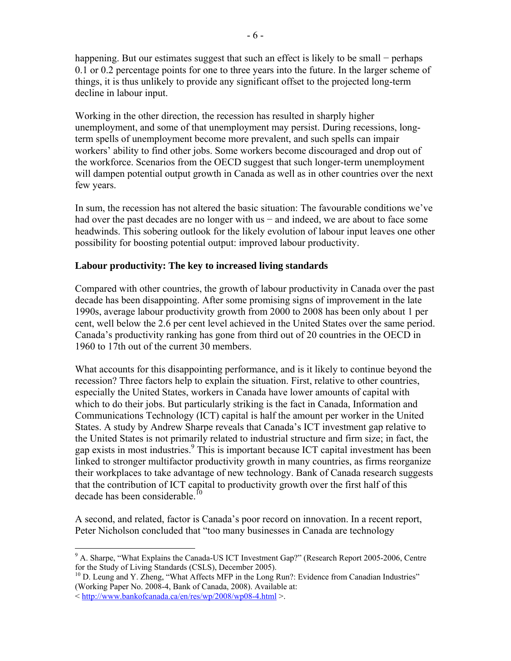happening. But our estimates suggest that such an effect is likely to be small − perhaps 0.1 or 0.2 percentage points for one to three years into the future. In the larger scheme of things, it is thus unlikely to provide any significant offset to the projected long-term decline in labour input.

Working in the other direction, the recession has resulted in sharply higher unemployment, and some of that unemployment may persist. During recessions, longterm spells of unemployment become more prevalent, and such spells can impair workers' ability to find other jobs. Some workers become discouraged and drop out of the workforce. Scenarios from the OECD suggest that such longer-term unemployment will dampen potential output growth in Canada as well as in other countries over the next few years.

In sum, the recession has not altered the basic situation: The favourable conditions we've had over the past decades are no longer with us – and indeed, we are about to face some headwinds. This sobering outlook for the likely evolution of labour input leaves one other possibility for boosting potential output: improved labour productivity.

# **Labour productivity: The key to increased living standards**

Compared with other countries, the growth of labour productivity in Canada over the past decade has been disappointing. After some promising signs of improvement in the late 1990s, average labour productivity growth from 2000 to 2008 has been only about 1 per cent, well below the 2.6 per cent level achieved in the United States over the same period. Canada's productivity ranking has gone from third out of 20 countries in the OECD in 1960 to 17th out of the current 30 members.

What accounts for this disappointing performance, and is it likely to continue beyond the recession? Three factors help to explain the situation. First, relative to other countries, especially the United States, workers in Canada have lower amounts of capital with which to do their jobs. But particularly striking is the fact in Canada, Information and Communications Technology (ICT) capital is half the amount per worker in the United States. A study by Andrew Sharpe reveals that Canada's ICT investment gap relative to the United States is not primarily related to industrial structure and firm size; in fact, the gap exists in most industries.<sup>9</sup> This is important because ICT capital investment has been linked to stronger multifactor productivity growth in many countries, as firms reorganize their workplaces to take advantage of new technology. Bank of Canada research suggests that the contribution of ICT capital to productivity growth over the first half of this decade has been considerable. $^{10}$ 

A second, and related, factor is Canada's poor record on innovation. In a recent report, Peter Nicholson concluded that "too many businesses in Canada are technology

 $\overline{a}$ 

<sup>&</sup>lt;sup>9</sup> A. Sharpe, "What Explains the Canada-US ICT Investment Gap?" (Research Report 2005-2006, Centre for the Study of Living Standards (CSLS), December 2005).<br><sup>10</sup> D. Leung and Y. Zheng, "What Affects MFP in the Long Run?: Evidence from Canadian Industries"

<sup>(</sup>Working Paper No. 2008-4, Bank of Canada, 2008). Available at:

<sup>&</sup>lt; http://www.bankofcanada.ca/en/res/wp/2008/wp08-4.html >.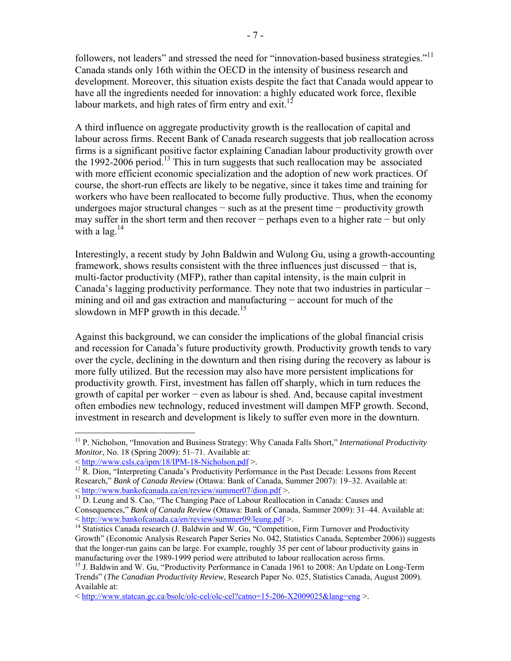followers, not leaders" and stressed the need for "innovation-based business strategies."<sup>11</sup> Canada stands only 16th within the OECD in the intensity of business research and development. Moreover, this situation exists despite the fact that Canada would appear to have all the ingredients needed for innovation: a highly educated work force, flexible labour markets, and high rates of firm entry and exit.<sup>12</sup>

A third influence on aggregate productivity growth is the reallocation of capital and labour across firms. Recent Bank of Canada research suggests that job reallocation across firms is a significant positive factor explaining Canadian labour productivity growth over the 1992-2006 period.<sup>13</sup> This in turn suggests that such reallocation may be associated with more efficient economic specialization and the adoption of new work practices. Of course, the short-run effects are likely to be negative, since it takes time and training for workers who have been reallocated to become fully productive. Thus, when the economy undergoes major structural changes − such as at the present time − productivity growth may suffer in the short term and then recover − perhaps even to a higher rate − but only with a  $\log^{14}$ 

Interestingly, a recent study by John Baldwin and Wulong Gu, using a growth-accounting framework, shows results consistent with the three influences just discussed – that is, multi-factor productivity (MFP), rather than capital intensity, is the main culprit in Canada's lagging productivity performance. They note that two industries in particular − mining and oil and gas extraction and manufacturing − account for much of the slowdown in MFP growth in this decade.<sup>15</sup>

Against this background, we can consider the implications of the global financial crisis and recession for Canada's future productivity growth. Productivity growth tends to vary over the cycle, declining in the downturn and then rising during the recovery as labour is more fully utilized. But the recession may also have more persistent implications for productivity growth. First, investment has fallen off sharply, which in turn reduces the growth of capital per worker − even as labour is shed. And, because capital investment often embodies new technology, reduced investment will dampen MFP growth. Second, investment in research and development is likely to suffer even more in the downturn.

 $\overline{a}$ 

<sup>&</sup>lt;sup>11</sup> P. Nicholson, "Innovation and Business Strategy: Why Canada Falls Short," *International Productivity Monitor*, No. 18 (Spring 2009): 51–71. Available at:

 $12$  R. Dion, "Interpreting Canada's Productivity Performance in the Past Decade: Lessons from Recent Research," *Bank of Canada Review* (Ottawa: Bank of Canada, Summer 2007): 19–32. Available at:

 $^{13}$  D. Leung and S. Cao, "The Changing Pace of Labour Reallocation in Canada: Causes and Consequences," *Bank of Canada Review* (Ottawa: Bank of Canada, Summer 2009): 31–44. Available at: <br>< http://www.bankofcanada.ca/en/review/summer09/leung.pdf >.

<sup>&</sup>lt;sup>14</sup> Statistics Canada research (J. Baldwin and W. Gu, "Competition, Firm Turnover and Productivity Growth" (Economic Analysis Research Paper Series No. 042, Statistics Canada, September 2006)) suggests that the longer-run gains can be large. For example, roughly 35 per cent of labour productivity gains in manufacturing over the 1989-1999 period were attributed to labour reallocation across firms.

<sup>&</sup>lt;sup>15</sup> J. Baldwin and W. Gu, "Productivity Performance in Canada 1961 to 2008: An Update on Long-Term Trends" (*The Canadian Productivity Review*, Research Paper No. 025, Statistics Canada, August 2009). Available at:

 $\leq$  http://www.statcan.gc.ca/bsolc/olc-cel/olc-cel?catno=15-206-X2009025&lang=eng  $\geq$ .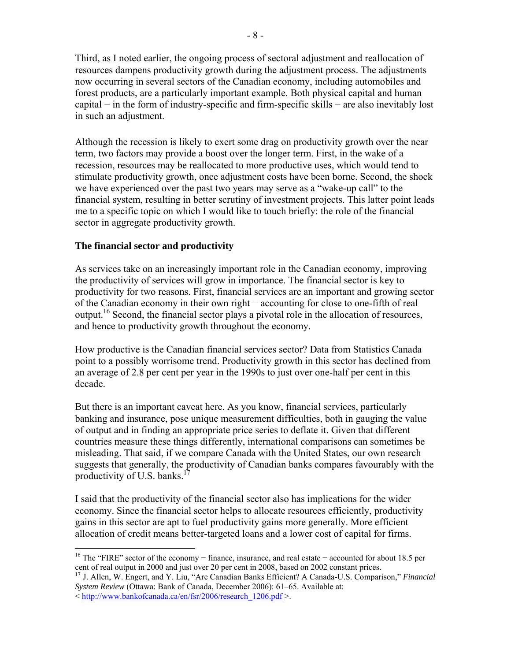Third, as I noted earlier, the ongoing process of sectoral adjustment and reallocation of resources dampens productivity growth during the adjustment process. The adjustments now occurring in several sectors of the Canadian economy, including automobiles and forest products, are a particularly important example. Both physical capital and human capital − in the form of industry-specific and firm-specific skills − are also inevitably lost in such an adjustment.

Although the recession is likely to exert some drag on productivity growth over the near term, two factors may provide a boost over the longer term. First, in the wake of a recession, resources may be reallocated to more productive uses, which would tend to stimulate productivity growth, once adjustment costs have been borne. Second, the shock we have experienced over the past two years may serve as a "wake-up call" to the financial system, resulting in better scrutiny of investment projects. This latter point leads me to a specific topic on which I would like to touch briefly: the role of the financial sector in aggregate productivity growth.

# **The financial sector and productivity**

As services take on an increasingly important role in the Canadian economy, improving the productivity of services will grow in importance. The financial sector is key to productivity for two reasons. First, financial services are an important and growing sector of the Canadian economy in their own right − accounting for close to one-fifth of real output.<sup>16</sup> Second, the financial sector plays a pivotal role in the allocation of resources, and hence to productivity growth throughout the economy.

How productive is the Canadian financial services sector? Data from Statistics Canada point to a possibly worrisome trend. Productivity growth in this sector has declined from an average of 2.8 per cent per year in the 1990s to just over one-half per cent in this decade.

But there is an important caveat here. As you know, financial services, particularly banking and insurance, pose unique measurement difficulties, both in gauging the value of output and in finding an appropriate price series to deflate it. Given that different countries measure these things differently, international comparisons can sometimes be misleading. That said, if we compare Canada with the United States, our own research suggests that generally, the productivity of Canadian banks compares favourably with the productivity of U.S. banks.<sup>1</sup>

I said that the productivity of the financial sector also has implications for the wider economy. Since the financial sector helps to allocate resources efficiently, productivity gains in this sector are apt to fuel productivity gains more generally. More efficient allocation of credit means better-targeted loans and a lower cost of capital for firms.

1

<sup>&</sup>lt;sup>16</sup> The "FIRE" sector of the economy − finance, insurance, and real estate – accounted for about 18.5 per cent of real output in 2000 and just over 20 per cent in 2008, based on 2002 constant prices.

<sup>17</sup> J. Allen, W. Engert, and Y. Liu, "Are Canadian Banks Efficient? A Canada-U.S. Comparison," *Financial System Review* (Ottawa: Bank of Canada, December 2006): 61–65. Available at:

<sup>&</sup>lt; http://www.bankofcanada.ca/en/fsr/2006/research\_1206.pdf >.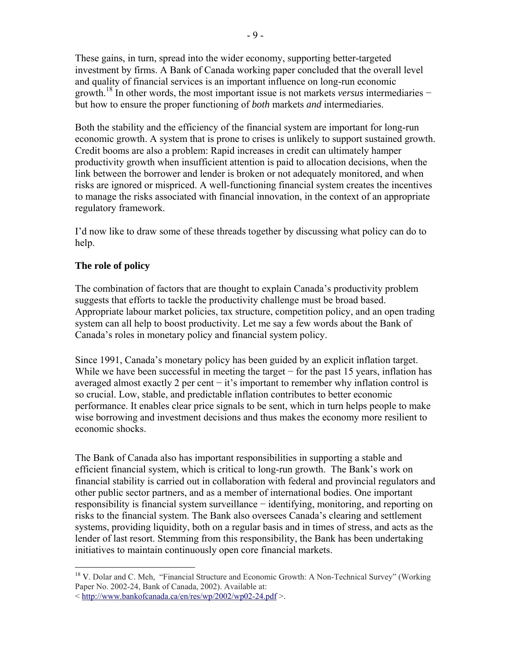These gains, in turn, spread into the wider economy, supporting better-targeted investment by firms. A Bank of Canada working paper concluded that the overall level and quality of financial services is an important influence on long-run economic growth.18 In other words, the most important issue is not markets *versus* intermediaries − but how to ensure the proper functioning of *both* markets *and* intermediaries.

Both the stability and the efficiency of the financial system are important for long-run economic growth. A system that is prone to crises is unlikely to support sustained growth. Credit booms are also a problem: Rapid increases in credit can ultimately hamper productivity growth when insufficient attention is paid to allocation decisions, when the link between the borrower and lender is broken or not adequately monitored, and when risks are ignored or mispriced. A well-functioning financial system creates the incentives to manage the risks associated with financial innovation, in the context of an appropriate regulatory framework.

I'd now like to draw some of these threads together by discussing what policy can do to help.

# **The role of policy**

The combination of factors that are thought to explain Canada's productivity problem suggests that efforts to tackle the productivity challenge must be broad based. Appropriate labour market policies, tax structure, competition policy, and an open trading system can all help to boost productivity. Let me say a few words about the Bank of Canada's roles in monetary policy and financial system policy.

Since 1991, Canada's monetary policy has been guided by an explicit inflation target. While we have been successful in meeting the target  $-$  for the past 15 years, inflation has averaged almost exactly 2 per cent  $-$  it's important to remember why inflation control is so crucial. Low, stable, and predictable inflation contributes to better economic performance. It enables clear price signals to be sent, which in turn helps people to make wise borrowing and investment decisions and thus makes the economy more resilient to economic shocks.

The Bank of Canada also has important responsibilities in supporting a stable and efficient financial system, which is critical to long-run growth. The Bank's work on financial stability is carried out in collaboration with federal and provincial regulators and other public sector partners, and as a member of international bodies. One important responsibility is financial system surveillance − identifying, monitoring, and reporting on risks to the financial system. The Bank also oversees Canada's clearing and settlement systems, providing liquidity, both on a regular basis and in times of stress, and acts as the lender of last resort. Stemming from this responsibility, the Bank has been undertaking initiatives to maintain continuously open core financial markets.

 $\overline{a}$ <sup>18</sup> V. Dolar and C. Meh, "Financial Structure and Economic Growth: A Non-Technical Survey" (Working Paper No. 2002-24, Bank of Canada, 2002). Available at:

<sup>&</sup>lt; http://www.bankofcanada.ca/en/res/wp/2002/wp02-24.pdf >.